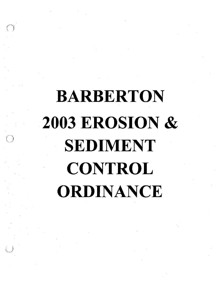# BARBERTON 2003 EROSION & SEDIMENT CONTROL ORDINANCE

0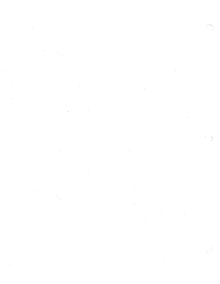$\label{eq:2.1} \frac{1}{\sqrt{2}}\sum_{i=1}^n\frac{1}{\sqrt{2}}\sum_{j=1}^n\frac{1}{\sqrt{2}}\sum_{j=1}^n\frac{1}{\sqrt{2}}\sum_{j=1}^n\frac{1}{\sqrt{2}}\sum_{j=1}^n\frac{1}{\sqrt{2}}\sum_{j=1}^n\frac{1}{\sqrt{2}}\sum_{j=1}^n\frac{1}{\sqrt{2}}\sum_{j=1}^n\frac{1}{\sqrt{2}}\sum_{j=1}^n\frac{1}{\sqrt{2}}\sum_{j=1}^n\frac{1}{\sqrt{2}}\sum_{j=1}^n\frac$  $\label{eq:2.1} \frac{1}{2} \sum_{i=1}^n \frac{1}{2} \sum_{i=1}^n \frac{1}{2} \sum_{j=1}^n \frac{1}{2} \sum_{i=1}^n \frac{1}{2} \sum_{i=1}^n \frac{1}{2} \sum_{j=1}^n \frac{1}{2} \sum_{j=1}^n \frac{1}{2} \sum_{j=1}^n \frac{1}{2} \sum_{j=1}^n \frac{1}{2} \sum_{j=1}^n \frac{1}{2} \sum_{j=1}^n \frac{1}{2} \sum_{j=1}^n \frac{1}{2} \sum_{j=1}^n \frac{$ 

 $\mathcal{L}^{\mathcal{L}}(\mathcal{L}^{\mathcal{L}})$  and the contract of the contract of the contract of the contract of the contract of the contract of the contract of the contract of the contract of the contract of the contract of the contrac

 $\label{eq:2.1} \frac{1}{\left\| \frac{1}{\mathcal{S}_{\text{max}}}\right\|} \leq \frac{1}{\mathcal{S}_{\text{max}}}\frac{1}{\mathcal{S}_{\text{max}}^2}$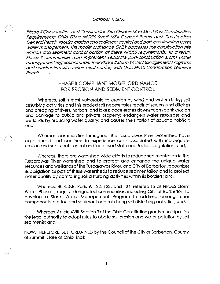*Phase // Communities and Construction Site Owners Must Meet Post Construct/on Requirements: Ohio EPA's NPDES Small MS4 General Permit and Construction General Permit, require erosion and sediment control and post-construction storm water management. This model ordinance ONL* Y *addresses the construction site*  erosion and sediment control portion of these NPDES requirements. As a result, *Phase II communities must implement separate post-construction storm water management regulations under their Phase IIStorm Water Management Programs and construction site owners must comply with Ohio EPA's Construction General Permit.* 

# PHASE II COMPLIANT MODEL ORDINANCE FOR EROSION AND SEDIMENT CONTROL

Whereas, soil is most vulnerable to erosion by wind and water during soil disturbing activities and this eroded soil necessitates repair of sewers and ditches and dredging of rivers, harbors, and lakes; accelerates downstream bank erosion and damage to public and private property; endangers water resources and wetlands by reducing water quality; and causes the siltation of aquatic habitat; and,

Whereas, communities throughout the Tuscarawas River watershed have experienced and continue to experience costs associated with inadequate erosion and sediment control and increased state and federal regulation; and,

Whereas, there are watershed-wide efforts to reduce sedimentation in the Tuscarawas River watershed and to protect and enhance the unique water resources and wetlands of the Tuscarawas River, and City of Barberton recognizes its obligation as part of these watersheds to reduce sedimentation and to protect water quality by controlling soil disturbing activities within its borders; and,

Whereas, 40 C.F.R. Parts 9, 122, 123, and 124, referred to as NPDES Storm Water Phase II, require designated communities, including City of Barberton to develop a Storm Water Management Program to address, among other components, erosion and sediment control during soil disturbing activities; and,

Whereas, Article XVIII, Section 3 of the Ohio Constitution grants municipalities the legal authority to adopt rules to abate soil erosion and water pollution by soil sediments; and,

NOW, THEREFORE, BE IT ORDAINED by the Council of the City of Barberton, County of Summit, State of Ohio, that:

1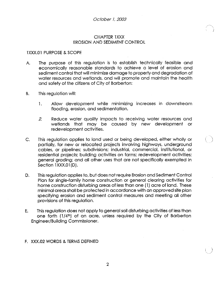### CHAPTER 1XXX EROSION AND SEDIMENT CONTROL

### 1 XXX.01 PURPOSE & SCOPE

- A. The purpose of this regulation is to establish technically feasible and economically reasonable standards to achieve a level of erosion and sediment control that will minimize damage to property and degradation of water resources and wetlands, and will promote and maintain the health and safety of the citizens of City of Barberton:
- B. This regulation will:
	- 1. Allow development while minimizing increases in downstream flooding, erosion, and sedimentation.
	- 2. Reduce water quality impacts to receiving water resources and wetlands that may be caused by new development or redevelopment activities.
- C. This regulation applies to land used or being developed, either wholly or partially, for new or relocated projects involving highways, underground cables, or pipelines; subdivisions; industrial, commercial, institutional, or residential projects; building activities on farms; redevelopment activities; general grading; and all other uses that are not specifically exempted in Section 1XXX.01(D).
- D. This regulation applies to, but does not require Erosion and Sediment Control Plan for single-family home construction or general clearing activities for home construction disturbing areas of less than one (1) acre of land. These minimal areas shall be protected in accordance with an approved site plan specifying erosion and sediment control measures and meeting all other provisions of this regulation.
- E. This regulation does not apply to general soil disturbing activities of less than one forth (1/4<sup>th</sup>) of an acre, unless required by the City of Barberton Engineer/Building Commissioner.
- F. XXX.02 WORDS & TERMS DEFINED

 $\overline{2}$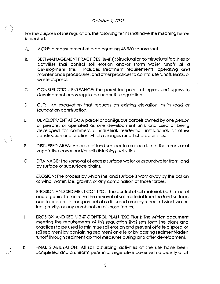For the purpose of this regulation, the following terms shall have the meaning herein indicated:

- A. ACRE: A measurement of area equaling 43,560 square feet.
- B. BEST MANAGEMENT PRACTICES (BMPs): Structural or nonstructural facilities or activities that control soil erosion and/or storm water runoff at a Includes treatment requirements, operating and maintenance procedures, and other practices to control site runoff, leaks, or waste disposal.
- C. CONSTRUCTION ENTRANCE: The permitted points of ingress and egress to development areas regulated under this regulation.
- D. CUT: An excavation that reduces an existing elevation, as in road or foundation construction.
- E. DEVELOPMENT AREA: A parcel or contiguous parcels owned by one person or persons, or operated as one development unit, and used or being developed for commercial, industrial; residential, institutional, or other construction or alteration which changes runoff characteristics.
- F. DISTURBED AREA: An area of land subject to erosion due to the removal of vegetative cover and/or soil disturbing activities.
- G. DRAINAGE: The removal of excess surface water or groundwater from land by surface or subsurface drains.
- H. EROSION: The process by which the land surface is worn away by the action of wind, water, ice, gravity, or any combination of those forces.
- I. EROSION AND SEDIMENT CONTROL: The control of soil material, both mineral and organic, to minimize the removal of soil material from the land surface and to prevent its transport out of a disturbed area by means of wind, water, ice, gravity, or any combination of those forces.
- J. EROSION AND SEDIMENT CONTROL PLAN (ESC Plan): The written document meeting the requirements of this regulation that sets forth the plans and practices to be used to minimize soil erosion and prevent off-site disposal of soil sediment by containing sediment on-site or by passing sediment-laden runoff through sediment control measures during and after development.
- K. FINAL STABILIZATION: All soil disturbing activities at the site have been completed and a uniform perennial vegetative cover with a density of at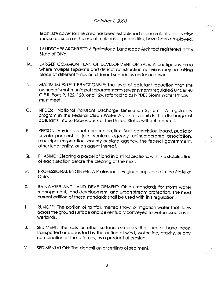### October 1, 2003

least 80% cover for the area has been established or equivalent stabilization measures, such as the use of mulches or geotextiles, have been employed.

- L. LANDSCAPE ARCHITECT: A Professional Landscape Architect registered in the State of Ohio.
- M. LARGER COMMON PLAN OF DEVELOPMENT OR SALE: A contiguous area where multiple separate and distinct construction activities may be taking place at different times on different schedules under one plan.
- N. MAXIMUM EXTENT PRACTICABLE: The level of pollutant reduction that site owners of small municipal separate storm sewer systems regulated under 40 C.F.R. Parts 9, 122, 123, and 124, referred to as NPDES Storm Water Phase II, must meet.
- 0. NPDES: National Pollutant Discharge Elimination System. A regulatory program in the Federal Clean Water Act that prohibits the discharge of pollutants into surface waters of the United States without a permit.
- P. PERSON: Any individual, corporation, firm, trust, commission, board, public or private partnership, joint venture, agency, unincorporated association, municipal corporation, county or state agency, the federal government, other legal entity, or an agent thereof.
- Q. PHASING: Clearing a parcel of land in distinct sections, with the stabilization of each section before the clearing of the next.
- R. PROFESSIONAL ENGINEER: A Professional Engineer registered in the State of Ohio.
- S. RAINWATER AND LAND DEVELOPMENT: Ohio's standards for storm water management, land development, and urban stream protection. The most current edition of these standards shall be used with this regulation.
- T. RUNOFF: The portion of rainfall, melted snow, or irrigation water that flows across the ground surface and is eventually conveyed to water resources or wetlands.
- U. SEDIMENT: The soils or other surface materials that are or have been transported or deposited by the action of wind, water, ice, gravity, or any combination of those forces, as a product of erosion.
- V. SEDIMENTATION: The deposition or settling of sediment.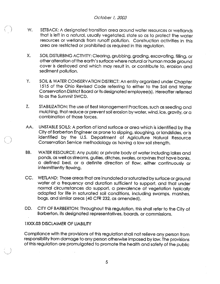- W. SETBACK: A designated transition area around water resources or wetlands that is left in a natural, usually vegetated, state so as to protect the water resources or wetlands from runoff pollution. Construction activities in this area are restricted or prohibited as required in this regulation.
- X. SOIL DISTURBING ACTIVITY: Clearing, grubbing, grading, excavating, filling, or other alteration of the earth's surface where natural or human made ground cover is destroyed and which may result in, or contribute to, erosion and sediment pollution.
- Y. SOIL & WATER CONSERVATION DISTRICT: An entity organized under Chapter 1515 of the Ohio Revised Code referring to either to the Soil and Water Conservation District Board or its designated employee(s). Hereafter referred to as the Summit SWCD.
- Z. STABILIZATION: The use of Best Management Practices, such as seeding and mulching, that reduce or prevent soil erosion by water, wind, ice, gravity, or a combination of those forces.
- AA. UNSTABLE SOILS: A portion of land surface or area which is identified by the City of Barberton Engineer as prone to slipping, sloughing, or landslides, or is identified by the U.S. Department of Agriculture Natural Resource Conservation Service methodology as having a low soil strength.
- BB. WATER RESOURCE: Any public or private body of water including lakes and ponds, as well as streams, gullies, ditches, swales, or ravines that have banks, a defined bed, or a definite direction of flow, either continuously or intermittently flowing.
- CC. WETLAND: Those areas that are inundated or saturated by surface or ground water at a frequency and duration sufficient to support, and that under normal circumstances do support, a prevalence of vegetation typically adapted for life in saturated soil conditions, including swamps, marshes, bogs, and similar areas (40 CFR 232, as amended).
- DD. CITY OF BARBERTON: Throughout this regulation, this shall refer to the City of Barberton, its designated representatives, boards, or commissions.

# 1XXX.03 DISCLAIMER OF LIABILITY

Compliance with the provisions of this regulation shall not relieve any person from responsibility from damage to any person otherwise imposed by law. The provisions of this regulation are promulgated to promote the health and safety of the public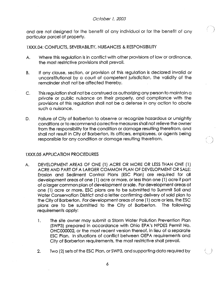and are not designed for the benefit of any individual or for the benefit of any particular parcel of property.

### 1XXX.04: CONFLICTS, SEVERABILITY, NUISANCES & RESPONSIBILITY

- A. Where this regulation is in conflict with other provisions of law or ordinance, the most restrictive provisions shall prevail.
- B. If any clause, section, or provision of this regulation is declared invalid or unconstitutional by a court of competent jurisdiction, the validity of the remainder shall not be affected thereby.
- C. This regulation shall not be construed as authorizing any person to maintain a private or public nuisance on their property, and compliance with the provisions of this regulation shall not be a defense in any action to abate such a nuisance.
- D. Failure of City of Barberton to observe or recognize hazardous or unsightly conditions or to recommend corrective measures shall not relieve the owner from the responsibility for the condition or damage resulting therefrom, and shall not result in City of Barberton, its officers, employees, or agents being responsible for any condition or damage resulting therefrom.

### 1XXX.05 APPLICATION PROCEDURES

- A. DEVELOPMENT AREAS OF ONE (1) ACRE OR MORE OR LESS THAN ONE (1) ACRE AND PART OF A LARGER COMMON PLAN OF DEVELOPMENT OR SALE: Erosion and Sediment Control Plans (ESC Plan) are required for all development areas of one (1) acre or more, or less than one (1) acre if part of a larger common plan of development or sale. For development areas of one (1) acre or more, ESC plans are to be submitted to Summit Soil and Water Conservation District and a letter confirming delivery of said plan to the City of Barberton. For development areas of one (1) acre or less, the ESC plans are to be submitted to the City of Barberton. The following requirements apply:
	- 1. The site owner may submit a Storm Water Pollution Prevention Plan (SWP3) prepared in accordance with Ohio EPA's NPDES Permit No. OHC000002, or the most recent version thereof, in lieu of a separate ESC Plan. In situations of conflict between OEPA requirements and City of Barberton requirements, the most restrictive shall prevail.
	- 2. Two (2) sets of the ESC Plan, or SWP3, and supporting data required by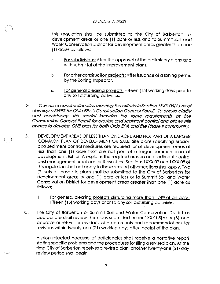### October 1, 2003

this regulation shall be submitted to the City of Barberton for development areas of one (1) acre or less and to Summit Soil and Water Conservation District for development areas greater than one (1) acres as follows:

- a. For subdivisions: After the approval of the preliminary plans and with submittal of the improvement plans.
- b. For other construction projects: After issuance of a zoning permit by the Zoning Inspector.
- c. <u>For general clearing projects:</u> Fifteen (15) working days prior to any soil disturbing activities.
- $\triangleright$ Owners of construction sites meeting the criteria in Section 1XXX05(A) must develop a SWP3 for Ohio EPA's Construction General Permit. To ensure clarity and consistency, this model includes the same requirements as the Construction General Permit for erosion and sediment control and allows site owners to develop ONE plan for both Ohio EPA and the Phase II community.
- B. DEVELOPMENT AREAS OF LESS THAN ONE ACRE AND NOT PART OF A LARGER COMMON PLAN OF DEVELOPMENT OR SALE: Site plans specifying erosion and sediment control measures are required for all development areas of less than one (1) acre that are not part of a larger common plan of development. Exhibit A explains the required erosion and sediment control best management practices for these sites. Sections 1 XXX.07 and 1 XXX.08 of this regulation shall not apply to these sites. All other sections shall apply. Two (2) sets of these site plans shall be submitted to the City of Barberton for development areas of one (1) acre or less or to Summit Soil and Water Conservation District for development areas greater than one (1) acre as follows:
	- 1. For general clearing projects disturbing more than 1/4<sup>th</sup> of an acre: Fifteen (15) working days prior to any soil disturbing activities.
- C. The City of Barberton or Summit Soil and Water Conservation District as appropriate shall review the plans submitted under 1XXX.05(A) or (B) and approve or return for revisions with comments and recommendations for revisions within twenty-one (21) working days after receipt of the plan.

A plan rejected because of deficiencies shall receive a narrative report stating specific problems and the procedures for filing a revised plan. At the time City of Barberton receives a revised plan, another twenty-one (21) day review period shall begin.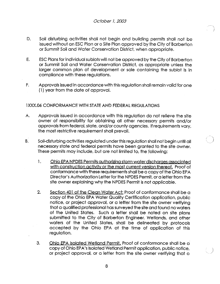- D. Soil disturbing activities shall not begin and building permits shall not be issued without an ESC Plan or a Site Plan approved by the City of Barberton or Summit Soil and Water Conservation District, when appropriate.
- E. ESC Plans for individual sublots will not be approved by the City of Barberton or Summit Soil and Water Conservation District, as appropriate unless the larger common plan of development or sale containing the sublot is in compliance with these regulations.
- F. Approvals issued in accordance with this regulation shall remain valid for one (1) year from the date of approval.

# 1XXX.06 CONFORMANCE WITH STATE AND FEDERAL REGULATIONS

- A. Approvals issued in accordance with this regulation do not relieve the site owner of responsibility for obtaining all other necessary permits and/or approvals from federal, state, and/or county agencies. If requirements vary, the most restrictive requirement shall prevail.
- B. Soil-disturbing activities regulated under this regulation shall not begin until all necessary state and federal permits have been granted to the site owner. These permits may include, but are not limited to, the following:
	- 1. Ohio EPA NPDES Permits authorizina storm water discharaes associated with construction activity or the most current version thereof. Proof of conformance with these requirements shall be a copy of the Ohio EPA Director's Authorization Letter for the NPDES Permit, or a letter from the site owner explaining why the NPDES Permit is not applicable.
	- 2. Section 401 of the Clean Water Act: Proof of conformance shall be a copy of the Ohio EPA Water Quality Certification application, public notice, or project approval, or a letter from the site owner verifying that a qualified professional has surveyed the site and found no waters of the United States. Such a letter shall be noted on site plans submitted to the City of Barberton Engineer. Wetlands, and other waters of the United States, shall be delineated by protocols accepted by the Ohio EPA at the time of application of this regulation.
	- 3. Ohio EPA Isolated Wetland Permit. Proof of conformance shall be a copy of Ohio EPA's Isolated Wetland Permit application, public notice, or project approval, or a letter from the site owner verifying that a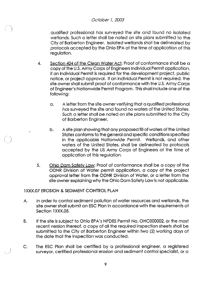qualified professional has surveyed the site and found no isolated wetlands. Such a letter shall be noted on site plans submitted to the City of Barberton Engineer. Isolated wetlands shall be delineated by protocols accepted by the Ohio EPA at the time of application of this regulation.

- 4. Section 404 of the Clean Water Act: Proof of conformance shall be a copy of the U.S. Army Corps of Engineers Individual Permit application, if an Individual Permit is required for the development project, public notice, or project approval. If an Individual Permit is not required, the site owner shall submit proof of conformance with the U.S. Army Corps of Engineer's Nationwide Permit Program. This shall include one of the following:
	- a. A letter from the site owner verifying that a qualified professional has surveyed the site and found no waters of the United States. Such a letter shall be noted on site plans submitted to the City of Barberton Engineer.
	- b. A site plan showing that any proposed fill of waters of the United States conforms to the general and specific conditions specified in the applicable Nationwide Permit. Wetlands, and other waters of the United States, shall be delineated by protocols accepted by the US Army Corps of Engineers at the time of application of this regulation.
- 5. Ohio Dam Safety Law: Proof of conformance shall be a copy of the ODNR Division of Water permit application, a copy of the project approval letter from the ODNR Division of Water, or a letter from the site owner explaining why the Ohio Dam Safety Law is not applicable.

### 1XXX.07 EROSION & SEDIMENT CONTROL PLAN

- A. In order to control sediment pollution of water resources and wetlands, the site owner shall submit an ESC Plan in accordance with the requirements of Section 1XXX.05.
- B. If the site is subject to Ohio EPA's NPDES Permit No. OHC000002, or the most recent version thereof, a copy of all the required inspection sheets shall be submitted to the City of Barberton Engineer within two (2) working days of the date that the inspection was conducted.
- C. The ESC Plan shall be certified by a professional engineer, a registered surveyor, certified professional erosion and sediment control specialist, or a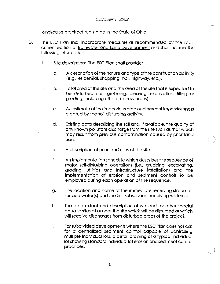landscape architect registered in the State of Ohio.

- D. The ESC Plan shall incorporate measures as recommended by the most current edition of Rainwater and Land Development and shall include the following information:
	- 1. Site description: The ESC Plan shall provide:
		- a. A description of the nature and type of the construction activity (e.g. residential, shopping mall, highway, etc.).
		- b. Total area of the site and the area of the site that is expected to be disturbed (i.e., grubbing, clearing, excavation, filling or grading, including off-site borrow areas).
		- c. An estimate of the impervious area and percent imperviousness created by the soil-disturbing activity.
		- d. Existing data describing the soil and, if available, the quality of any known pollutant discharge from the site such as that which may result from previous contamination caused by prior land uses.
		- e. A description of prior land uses at the site.
		- f. An implementation schedule which describes the sequence of major soil-disturbing operations (i.e., grubbing, excavating, grading, utilities and infrastructure installation) and the implementation of erosion and sediment controls to be employed during each operation of the sequence.
		- g. The location and name of the immediate receiving stream or surface water(s) and the first subsequent receiving water(s).
		- h. The area extent and description of wetlands or other special aquatic sites at or near the site which will be disturbed or which will receive discharges from disturbed areas of the project.
		- For subdivided developments where the ESC Plan does not call i. for a centralized sediment control capable of controlling multiple individual lots, a detail drawing of a typical individual lot showing standard individual lot erosion and sediment control practices.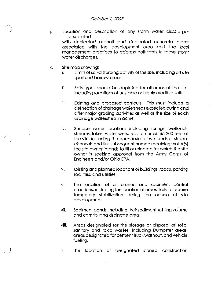Location and description of any storm water discharges associated with dedicated asphalt and dedicated concrete plants associated with the development area and the best management practices to address pollutants in these storm water discharges.

k. Site map showing:

j.

- i. Limits of soil-disturbing activity of the site, including off site spoil and borrow areas.
- ii. Soils types should be depicted for all areas of the site, including locations of unstable or highly erodible soils.
- iii. Existing and proposed contours. This must include a delineation of drainage watersheds expected during and after major grading activities as well as the size of each drainage watershed in acres.
- iv. Surface water locations including springs, wetlands, streams, lakes, water wells, etc., on or within 200 feet of the site, including the boundaries of wetlands or stream channels and first subsequent named receiving water(s) the site owner intends to fill or relocate for which the site owner is seeking approval from the Army Corps of Engineers and/or Ohio EPA.
- v. Existing and planned locations of buildings; roads, parking facilities, and utilities.
- vi. The location of all erosion and sediment control practices, including the location of areas likely to require temporary stabilization during the course of site development.
- vii. Sediment ponds, including their sediment settling volume and contributing drainage area.
- viii. Areas designated for the storage or disposal of solid, sanitary and toxic wastes, including Dumpster areas, areas designated for cement truck washout, and vehicle fueling.
- ix. The location of designated stoned construction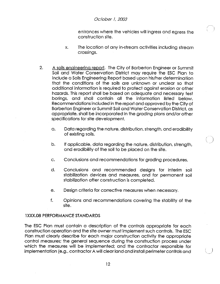# October 1, 2003

entrances where the vehicles will ingress and egress the construction site.

- x. The location of any in-stream activities including stream crossings.
- 2. A soils engineering report. The City of Barberton Engineer or Summit Soil and Water Conservation District may require the ESC Plan to include a Soils Engineering Report based upon his/her determination that the conditions of the soils are unknown or unclear so that additional information is required to protect against erosion or other hazards. This report shall be based on adequate and necessary test borings, and shall contain all the information listed below. Recommendations included in the report and approved by the City of Barberton Engineer or Summit Soil and Water Conservation District, as appropriate, shall be incorporated in the grading plans and/or other specifications for site development.
	- a. Data regarding the nature, distribution, strength, and erodibility of existing soils.
	- b. If applicable, data regarding the nature, distribution, strength, and erodibility of the soil to be placed on the site.
	- c. Conclusions and recommendations for grading procedures.
	- d. Conclusions and recommended designs for interim soil stabilization devices and measures, and for permanent soil stabilization after construction is completed.
	- e. Design criteria for corrective measures when necessary.
	- f. Opinions and recommendations covering the stability of the site.

# <sup>1</sup>**XXX.08** PERFORMANCE STANDARDS

The ESC Plan must contain a description of the controls appropriate for each construction operation and the site owner must implement such controls. The ESC Plan must clearly describe for each major construction activity the appropriate control measures; the general sequence during the construction process under which the measures will be implemented; and the contractor responsible for implementation (e.g., contractor A will clear land and install perimeter controls and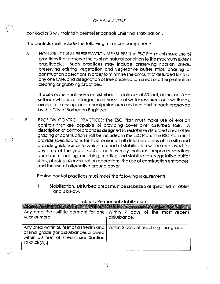contractor B will maintain perimeter controls until final stabilization).

The controls shall include the following minimum components:

A. NON-STRUCTURAL PRESERVATION MEASURES: The ESC Plan must make use of practices that preserve the existing natural condition to the maximum extent practicable. Such practices may include preserving riparian areas, preserving existing vegetation and vegetative buffer strips, phasing of construction operations in order to minimize the amount of disturbed land at any one time, and designation of tree preservation areas or other protective clearing or grubbing practices.

The site owner shall leave undisturbed a minimum of 50 feet, or the required setback whichever is larger, on either side of water resources and wetlands, except for crossings and other riparian area and wetland impacts approved by the City of Barberton Engineer.

B. EROSION CONTROL PRACTICES: The ESC Plan must make use of erosion controls that are capable of providing cover over disturbed soils. A description of control practices designed to restabilize disturbed areas after grading or construction shall be included in the ESC Plan. The ESC Plan must provide specifications for stabilization of all disturbed areas of the site and provide guidance as to which method of stabilization will be employed for any time of the year. Such practices may include: temporary seeding, permanent seeding, mulching, matting, sod stabilization, vegetative buffer strips, phasing of construction operations, the use of construction entrances, and the use of alternative ground cover.

Erosion control practices must meet the following requirements:

1. Stabilization. Disturbed areas must be stabilized as specified in Tables 1 and 2 below.

| Area requiring permanent stabilization. Thing frame for apply ereston controls                                                                | Any area that will lie dormant for one   Within 7 days of the most recent |
|-----------------------------------------------------------------------------------------------------------------------------------------------|---------------------------------------------------------------------------|
| year or more                                                                                                                                  | disturbance.                                                              |
| Any area within 50 feet of a stream and  <br>at final grade (for disturbances allowed<br>within 50 feet of stream see Section<br>1XXX.08(A).) | Within 2 days of reaching final grade.                                    |

### Table 1: Permanent Stabilization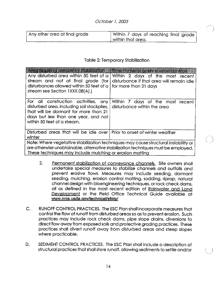| Any other area at final grade | Within 7 days of reaching final grade |
|-------------------------------|---------------------------------------|
|                               | within that area.                     |

# Table 2: Temporary Stabilization

| <b>Area requiring temporary stabilization:</b><br>Any disturbed area within 50 feet of a<br>stream and not at final grade (for<br>disturbances allowed within 50 feet of a<br>stream see Section 1XXX.08(A).)                         | Time frame to apply erosion controls<br>Within 2 days of the most recent<br>disturbance if that area will remain idle<br>for more than 21 days |  |
|---------------------------------------------------------------------------------------------------------------------------------------------------------------------------------------------------------------------------------------|------------------------------------------------------------------------------------------------------------------------------------------------|--|
| For all construction activities,<br>any<br>disturbed area, including soil stockpiles,<br>that will be dormant for more than 21<br>days but less than one year, and not<br>within 50 feet of a stream.                                 | Within 7 days of the most<br>recent<br>disturbance within the area                                                                             |  |
| Disturbed areas that will be idle over   Prior to onset of winter weather<br>winter                                                                                                                                                   |                                                                                                                                                |  |
| Note: Where vegetative stabilization techniques may cause structural instability or<br>are otherwise unobtainable, alternative stabilization techniques must be employed.<br>These techniques may include mulching or erosion matting |                                                                                                                                                |  |

- 2. Permanent stabilization of conveyance channels. Site owners shall undertake special measures to stabilize channels and outfalls and prevent erosive flows. Measures may include seeding, dormant seeding, mulching, erosion control matting, sodding, riprap, natural channel design with bioengineering techniques, or rock check dams, all as defined in the most recent edition of Rainwater and Land Development or the Field Office Technical Guide available at www.nrcs.usda.gov/technical/efotg/
- C. RUNOFF CONTROL PRACTICES. The ESC Plan shall incorporate measures that control the flow of runoff from disturbed areas so as to prevent erosion. Such practices may include rock check dams, pipe slope drains, diversions to direct flow away from exposed soils and protective grading practices. These practices shall divert runoff away from disturbed areas and steep slopes where practicable.
- D. SEDIMENT CONTROL PRACTICES. The ESC Plan shall include a description of structural practices that shall store runoff, allowing sediments to settle and/or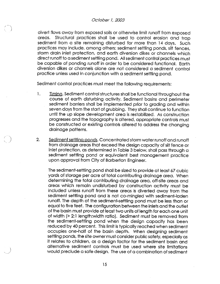divert flows away from exposed soils or otherwise limit runoff from exposed areas. Structural practices shall be used to control erosion and trap sediment from a site remaining disturbed for more than 14 days. Such practices may include, among others: sediment settling ponds, silt fences, storm drain inlet protection, and earth diversion dikes or channels which direct runoff to a sediment settling pond. All sediment control practices must be capable of ponding runoff in order to be considered functional. Earth diversion dikes or channels alone are not considered a sediment control practice unless used in conjunction with a sediment settling pond.

Sediment control practices must meet the following requirements:

- 1. Timing. Sediment control structures shall be functional throughout the course of earth disturbing activity. Sediment basins and perimeter sediment barriers shall be implemented prior to grading and within seven days from the start of grubbing. They shall continue to function until the up slope development area is restabilized. As construction progresses and the topography is altered, appropriate controls must be constructed or existing controls altered to address the changing drainage patterns.
- 2. Sediment settling ponds. Concentrated storm water runoff and runoff from drainage areas that exceed the design capacity of silt fence or inlet protection, as determined in Table 3 below, shall pass through a sediment settling pond or equivalent best management practice upon approval from City of Barberton Engineer.

The sediment-settling pond shall be sized to provide at least 67 cubic yards of storage per acre of total contributing drainage area. When determining the total contributing drainage area, off-site areas and areas which remain undisturbed by construction activity must be included unless runoff from these areas is diverted away from the sediment settling pond and is not co-mingled with sediment-laden runoff. The depth of the sediment-settling pond must be less than or equal to five feet. The configuration between the inlets and the outlet of the basin must provide at least two units of length for each one unit of width (> 2:1 length:width ratio). Sediment must be removed from the sediment-settling pond when the design capacity has been reduced by 40 percent. This limit is typically reached when sediment occupies one-half of the basin depth. When designing sediment settling ponds, the site owner must consider public safety, especially as it relates to children, as a design factor for the sediment basin and alternative sediment controls must be used where site limitations would preclude a safe design. The use of a combination of sediment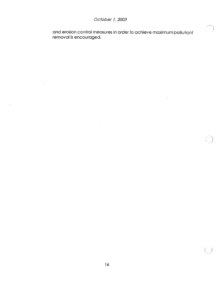$\mathcal{F}_{\mathcal{A}}$ 

and erosion control measures in order to achieve maximum pollutant removal is encouraged.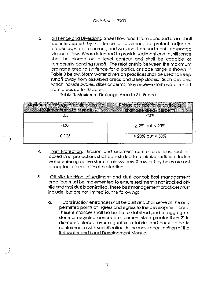3. Silt Fence and Diversions. Sheet flow runoff from denuded areas shall be intercepted by silt fence or diversions to protect adjacent properties, water resources, and wetlands from sediment transported via sheet flow. Where intended to provide sediment control, silt fence shall be placed on a level contour and shall be capable of temporarily ponding runoff. The relationship between the maximum drainage area to silt fence for a particular slope range is shown in Table 3 below. Storm water diversion practices shall be used to keep runoff away from disturbed areas and steep slopes. Such devices, which include swales, dikes or berms, may receive storm water runoff from areas up to 10 acres.

Table 3: Maximum Drainage Area to Silt Fence

| Maximum drainage area (in acres) to<br>100 linear feet of silt fence | Range of slope for a particular<br>drainage area (percent) |
|----------------------------------------------------------------------|------------------------------------------------------------|
| 0.5                                                                  | くつヅ                                                        |
| 0.25                                                                 | $> 2\%$ but < 20%                                          |
| 0.125                                                                | $\geq$ 20% but < 50%                                       |

- 4. Inlet Protection. Erosion and sediment control practices, such as boxed inlet protection, shall be installed to minimize sediment-laden water entering active storm drain systems. Straw or hay bales are not acceptable forms of inlet protection.
- 5. Off site tracking of sediment and dust control: Best management practices must be implemented to ensure sediment is not tracked offsite and that dust is controlled. These best management practices must include, but are not limited to, the following:
	- a. Construction entrances shall be built and shall serve as the only permitted points of ingress and egress to the development area. These entrances shall be built of a stabilized pad of aggregate stone or recycled concrete or cement sized greater than 2" in diameter, placed over a geotextile fabric, and constructed in conformance with specifications in the most recent edition of the Rainwater and Land Development Manual.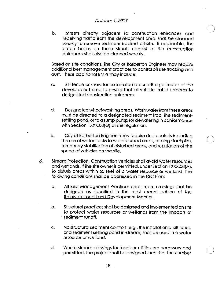### October 1, 2003

b. Streets directly adjacent to construction entrances and receiving traffic from the development area, shall be cleaned weekly to remove sediment tracked off-site. If applicable, the catch basins on these streets nearest to the construction entrances shall also be cleaned weekly.

Based on site conditions, the City of Barberton Engineer may require additional best management practices to control off site tracking and dust. These additional BMPs may include:

- c. Silt fence or snow fence installed around the perimeter of the development area to ensure that all vehicle traffic adheres to designated construction entrances.
- d. Designated wheel-washing areas. Wash water from these areas must be directed to a designated sediment trap, the sedimentsettling pond, or to a sump pump for dewatering in conformance with Section 1XXX.08(G) of this regulation.
- e. City of Barberton Engineer may require dust controls including the use of water trucks to wet disturbed areas, tarping stockpiles, temporary stabilization of disturbed areas, and regulation of the speed of vehicles on the site.
- 6. Stream Protection. Construction vehicles shall avoid water resources and wetlands. If the site owner is permitted, under Section 1 XXX.08(A), to disturb areas within 50 feet of a water resource or wetland, the following conditions shall be addressed in the ESC Plan:
	- a. All Best Management Practices and stream crossings shall be designed as specified in the most recent edition of the Rainwater and Land Development Manual.
	- b. Structural practices shall be designed and implemented on site to protect water resources or wetlands from the impacts of sediment runoff.
	- c. No structural sediment controls (e.g., the installation of silt fence or a sediment settling pond in-stream) shall be used in a water resource or wetland.
	- d. Where stream crossings for roads or utilities are necessary and permitted, the project shall be designed such that the number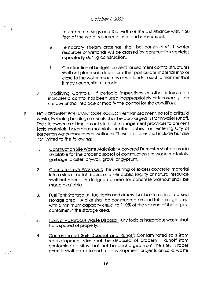of stream crossings and the width of the disturbance within 50 feet of the water resource or wetland is minimized.

- e. Temporary stream crossings shall be constructed if water resources or wetlands will be crossed by construction vehicles repeatedly during construction.
- f. Construction of bridges, culverts, or sediment control structures shall not place soil, debris, or other particulate material into or close to the water resources or wetlands in such a manner that it may slough, slip, or erode.
- 7. Modifvina Controls. If periodic inspections or other information indicates a control has been used inappropriately or incorrectly, the site owner shall replace or modify the control for site conditions.
- E. NON-SEDIMENT POLLUTANT CONTROLS: Other than sediment, no solid or liquid waste, including building materials, shall be discharged in storm water runoff. The site owner must implement site best management practices to prevent toxic materials, hazardous materials, or other debris from entering City of Barberton water resources or wetlands. These practices shall include but are not limited to the following:
	- 1. Construction Site Waste Materials: A covered Dumpster shall be made available for the proper disposal of construction site waste materials, garbage, plaster, drywall, grout, or gypsum.
	- 2. Concrete Truck Wash Out: The washing of excess concrete material into a street, catch basin, or other public facility or natural resource shall not occur. A designated area for concrete washout shall be made available.
	- 3. Fuel Tank Storage: All fuel tanks and drums shall be stored in a marked storage area. A dike shall be constructed around this storage area with a minimum capacity equal to 110% of the volume of the largest container in the storage area.
	- 4. Toxic or Hazardous Waste Disposal: Any toxic or hazardous waste shall be disposed of properly.
	- 5. Contaminated Soils Disposal and Runoff: Contaminated soils from redevelopment sites shall be disposed of properly. Runoff from contaminated sites shall not be discharged from the site. Proper permits shall be obtained for development projects on solid waste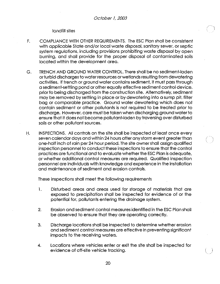### landfill sites

- F. COMPLIANCE WITH OTHER REQUIREMENTS. The ESC Plan shall be consistent with applicable State and/or local waste disposal, sanitary sewer, or septic system regulations, including provisions prohibiting waste disposal by open burning, and shall provide for the proper disposal of contaminated soils located within the development area.
- G. TRENCH AND GROUND WATER CONTROL. There shall be no sediment-laden or turbid discharges to water resources or wetlands resulting from dewatering activities. If trench or ground water contains sediment, it must pass through a sediment-settling pond or other equally effective sediment control device, prior to being discharged from the construction site. Alternatively, sediment may be removed by settling in place or by dewatering into a sump pit, filter bag or comparable practice. Ground water dewatering which does not contain sediment or other pollutants is not required to be treated prior to discharge. However, care must be taken when discharging ground water to ensure that it does not become pollutant-laden by traversing over disturbed soils or other pollutant sources.
- INSPECTIONS. All controls on the site shall be inspected at least once every Η. seven calendar days and within 24 hours after any storm event greater than one-half inch of rain per 24 hour period. The site owner shall assign qualified inspection personnel to conduct these inspections to ensure that the control practices are functional and to evaluate whether the ESC Plan is adequate, or whether additional control measures are required. Qualified inspection personnel are individuals with knowledge and experience in the installation and maintenance of sediment and erosion controls.

These inspections shall meet the following requirements

- 1. Disturbed areas and areas used for storage of materials that are exposed to precipitation shall be inspected for evidence of or the potential for, pollutants entering the drainage system.
- 2. Erosion and sediment control measures identified in the ESC Plan shall be observed to ensure that they are operating correctly.
- 3. Discharge locations shall be inspected to determine whether erosion and sediment control measures are effective in preventing significant impacts to the receiving waters.
- 4. Locations where vehicles enter or exit the site shall be inspected for evidence of off-site vehicle tracking.

20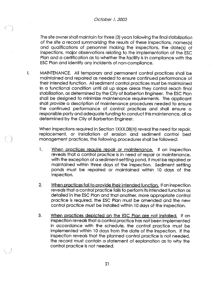The site owner shall maintain for three (3) years following the final stabilization of the site a record summarizing the results of these inspections, names(s) and qualifications of personnel making the inspections, the date(s) of inspections, major observations relating to the implementation of the ESC Plan and a certification as to whether the facility is in compliance with the ESC Plan and identify any incidents of non-compliance.

I. MAINTENANCE. All temporary and permanent control practices shall be maintained and repaired as needed to ensure continued performance of their intended function. All sediment control practices must be maintained in a functional condition until all up slope areas they control reach final stabilization, as determined by the City of Barberton Engineer. The ESC Plan shall be designed to minimize maintenance requirements. The applicant shall provide a description of maintenance procedures needed to ensure the continued performance of control practices and shall ensure a responsible party and adequate funding to conduct this maintenance, all as determined by the City of Barberton Engineer.

When inspections required in Section 1XXX.08(H) reveal the need for repair, replacement, or installation of erosion and sediment control best management practices, the following procedures shall be followed:

- 1. When practices require repair or maintenance. If an inspection reveals that a control practice is in need of repair or maintenance, with the exception of a sediment-settling pond, it must be repaired or maintained within three days of the inspection. Sediment settling ponds must be repaired or maintained within 10 days of the inspection.
- 2. When practices fail to provide their intended function. If an inspection reveals that a control practice fails to perform its intended function as detailed in the ESC Plan and that another, more appropriate control practice is required, the ESC Plan must be amended and the new control practice must be installed within 10 days of the inspection.
- 3. When practices depicted on the ESC Plan are not installed. If an inspection reveals that a control practice has not been implemented in accordance with the schedule, the control practice must be implemented within 10 days from the date of the inspection. If the inspection reveals that the planned control practice is not needed, the record must contain a statement of explanation as to why the control practice is not needed.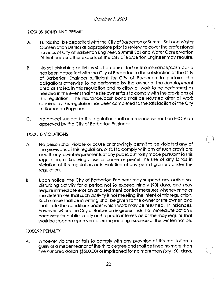# 1XXX,09 BOND AND PERMIT

- A. Funds shall be deposited with the City of Barberton or Summit Soil and Water Conservation District as appropriate prior to review to cover the professional services of City of Barberton Engineer, Summit Soil and Water Conservation District and/or other experts as the City of Barberton Engineer may require.
- B. No soil disturbing activities shall be permitted until a insurance/cash bond has been deposited with the City of Barberton to the satisfaction of the City of Barberton Engineer sufficient for City of Barberton to perform the obligations otherwise to be performed by the owner of the development area as stated in this regulation and to allow all work to be performed as needed in the event that the site owner fails to comply with the provisions of this regulation. The insurance/cash bond shall be returned after all work required by this regulation has been completed to the satisfaction of the City of Barberton Engineer.
- C. No project subject to this regulation shall commence without an ESC Plan approved by the City of Barberton Engineer.

### 1XXX.10 VIOLATIONS

- A. No person shall violate or cause or knowingly permit to be violated any of the provisions of this regulation, or fail to comply with any of such provisions or with any lawful requirements of any public authority made pursuant to this regulation, or knowingly use or cause or permit the use of any lands in violation of this regulation or in violation of any permit granted under this regulation.
- B. Upon notice, the City of Barberton Engineer may suspend any active soil disturbing activity for a period not to exceed ninety (90) days, and may require immediate erosion and sediment control measures whenever he or she determines that such activity is not meeting the intent of this regulation. Such notice shall be in writing, shall be given to the owner or site owner, and shall state the conditions under which work may be resumed. In instances, however, where the City of Barberton Engineer finds that immediate action is necessary for public safety or the public interest, he or she may require that work be stopped upon verbal order pending issuance of the written notice.

# 1XXX.99 PENALTY

A. Whoever violates or fails to comply with any provision of this regulation is guilty of a misdemeanor of the third degree and shall be fined no more than five hundred dollars (\$500.00) or imprisoned for no more than sixty (60) days,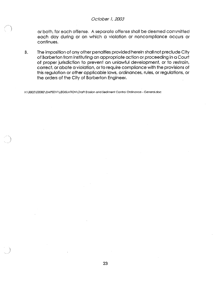or both, for each offense. A separate offense shall be deemed committed each day during or on which a violation or noncompliance occurs or continues.

B. The imposition of any other penalties provided herein shall not preclude City of Barberton from instituting an appropriate action or proceeding in a Court of proper jurisdiction to prevent an unlawful development, or to restrain, correct, or abate a violation, or to require compliance with the provisions of this regulation or other applicable laws, ordinances, rules, or regulations, or the orders of the City of Barberton Engineer.

H: \ 2002 \02082 \ EMPSDIV \LEGISLATION \Draft Erosion and Sediment Control Ordinance- General.doc